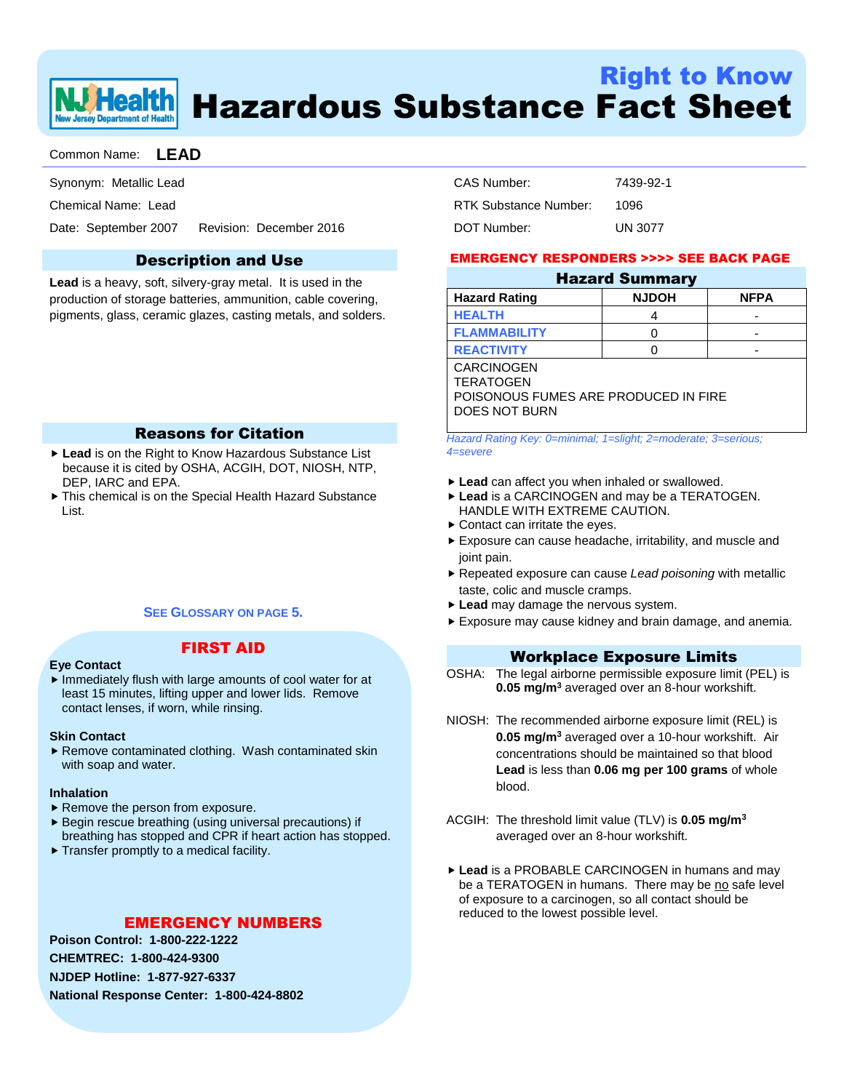

# Right to Know Hazardous Substance Fact Sheet

#### Common Name: **LEAD**

Synonym: Metallic Lead

Chemical Name: Lead

Date: September 2007 Revision: December 2016

# Description and Use

**Lead** is a heavy, soft, silvery-gray metal. It is used in the production of storage batteries, ammunition, cable covering, pigments, glass, ceramic glazes, casting metals, and solders.

#### Reasons for Citation

- ► Lead is on the Right to Know Hazardous Substance List because it is cited by OSHA, ACGIH, DOT, NIOSH, NTP, DEP, IARC and EPA.
- This chemical is on the Special Health Hazard Substance List.

#### **SEE GLOSSARY ON PAGE 5.**

# FIRST AID

#### **Eye Contact**

 $\blacktriangleright$  Immediately flush with large amounts of cool water for at least 15 minutes, lifting upper and lower lids. Remove contact lenses, if worn, while rinsing.

#### **Skin Contact**

 Remove contaminated clothing. Wash contaminated skin with soap and water.

#### **Inhalation**

- ▶ Remove the person from exposure.
- $\triangleright$  Begin rescue breathing (using universal precautions) if breathing has stopped and CPR if heart action has stopped.
- ▶ Transfer promptly to a medical facility.

# EMERGENCY NUMBERS

**Poison Control: 1-800-222-1222 CHEMTREC: 1-800-424-9300 NJDEP Hotline: 1-877-927-6337 National Response Center: 1-800-424-8802**

| CAS Number:           | 7439-92-1      |
|-----------------------|----------------|
| RTK Substance Number: | 1096           |
| DOT Number:           | <b>UN 3077</b> |

#### EMERGENCY RESPONDERS >>>> SEE BACK PAGE

| <b>Hazard Summary</b> |              |             |  |  |  |  |
|-----------------------|--------------|-------------|--|--|--|--|
| <b>Hazard Rating</b>  | <b>NJDOH</b> | <b>NFPA</b> |  |  |  |  |
| <b>HEALTH</b>         |              |             |  |  |  |  |
| <b>FLAMMABILITY</b>   |              | -           |  |  |  |  |
| <b>REACTIVITY</b>     |              | -           |  |  |  |  |

CARCINOGEN **TERATOGEN** POISONOUS FUMES ARE PRODUCED IN FIRE DOES NOT BURN

*Hazard Rating Key: 0=minimal; 1=slight; 2=moderate; 3=serious; 4=severe*

- **Lead** can affect you when inhaled or swallowed.
- **Lead** is a CARCINOGEN and may be a TERATOGEN. HANDLE WITH EXTREME CAUTION.
- ▶ Contact can irritate the eyes.
- Exposure can cause headache, irritability, and muscle and joint pain.
- Repeated exposure can cause *Lead poisoning* with metallic taste, colic and muscle cramps.
- **Lead** may damage the nervous system.
- Exposure may cause kidney and brain damage, and anemia.

#### Workplace Exposure Limits

- OSHA: The legal airborne permissible exposure limit (PEL) is **0.05 mg/m<sup>3</sup>** averaged over an 8-hour workshift.
- NIOSH: The recommended airborne exposure limit (REL) is **0.05 mg/m<sup>3</sup>** averaged over a 10-hour workshift. Air concentrations should be maintained so that blood **Lead** is less than **0.06 mg per 100 grams** of whole blood.
- ACGIH: The threshold limit value (TLV) is **0.05 mg/m<sup>3</sup>** averaged over an 8-hour workshift.
- **Lead** is a PROBABLE CARCINOGEN in humans and may be a TERATOGEN in humans. There may be no safe level of exposure to a carcinogen, so all contact should be reduced to the lowest possible level.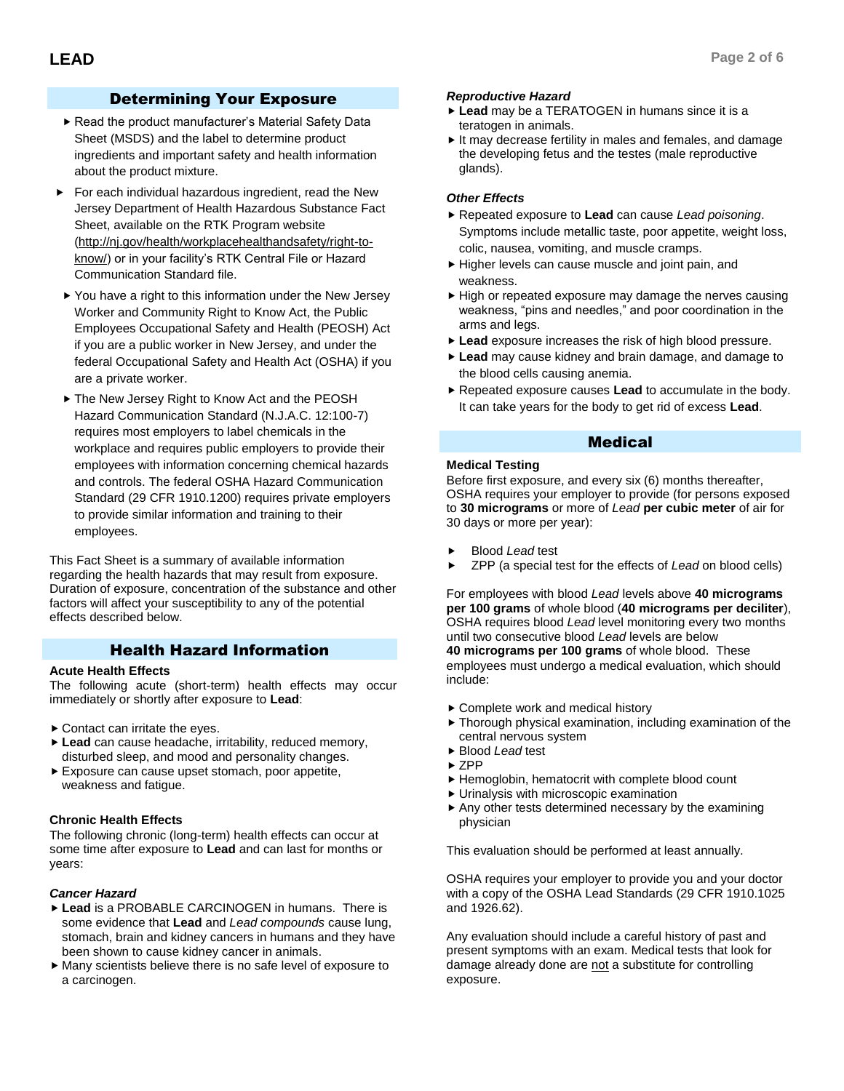# Determining Your Exposure

- Read the product manufacturer's Material Safety Data Sheet (MSDS) and the label to determine product ingredients and important safety and health information about the product mixture.
- For each individual hazardous ingredient, read the New Jersey Department of Health Hazardous Substance Fact Sheet, available on the RTK Program website (http://nj.gov/health/workplacehealthandsafety/right-toknow/) or in your facility's RTK Central File or Hazard Communication Standard file.
- ▶ You have a right to this information under the New Jersey Worker and Community Right to Know Act, the Public Employees Occupational Safety and Health (PEOSH) Act if you are a public worker in New Jersey, and under the federal Occupational Safety and Health Act (OSHA) if you are a private worker.
- ▶ The New Jersey Right to Know Act and the PEOSH Hazard Communication Standard (N.J.A.C. 12:100-7) requires most employers to label chemicals in the workplace and requires public employers to provide their employees with information concerning chemical hazards and controls. The federal OSHA Hazard Communication Standard (29 CFR 1910.1200) requires private employers to provide similar information and training to their employees.

This Fact Sheet is a summary of available information regarding the health hazards that may result from exposure. Duration of exposure, concentration of the substance and other factors will affect your susceptibility to any of the potential effects described below.

# Health Hazard Information

#### **Acute Health Effects**

The following acute (short-term) health effects may occur immediately or shortly after exposure to **Lead**:

- ▶ Contact can irritate the eyes.
- **Lead** can cause headache, irritability, reduced memory, disturbed sleep, and mood and personality changes.
- Exposure can cause upset stomach, poor appetite, weakness and fatigue.

#### **Chronic Health Effects**

The following chronic (long-term) health effects can occur at some time after exposure to **Lead** and can last for months or years:

#### *Cancer Hazard*

- **Lead** is a PROBABLE CARCINOGEN in humans. There is some evidence that **Lead** and *Lead compounds* cause lung, stomach, brain and kidney cancers in humans and they have been shown to cause kidney cancer in animals.
- Many scientists believe there is no safe level of exposure to a carcinogen.

#### *Reproductive Hazard*

- **Lead** may be a TERATOGEN in humans since it is a teratogen in animals.
- ► It may decrease fertility in males and females, and damage the developing fetus and the testes (male reproductive glands).

#### *Other Effects*

- Repeated exposure to **Lead** can cause *Lead poisoning*. Symptoms include metallic taste, poor appetite, weight loss, colic, nausea, vomiting, and muscle cramps.
- Higher levels can cause muscle and joint pain, and weakness.
- High or repeated exposure may damage the nerves causing weakness, "pins and needles," and poor coordination in the arms and legs.
- **Lead** exposure increases the risk of high blood pressure.
- **Lead** may cause kidney and brain damage, and damage to the blood cells causing anemia.
- Repeated exposure causes **Lead** to accumulate in the body. It can take years for the body to get rid of excess **Lead**.

# Medical

#### **Medical Testing**

Before first exposure, and every six (6) months thereafter, OSHA requires your employer to provide (for persons exposed to **30 micrograms** or more of *Lead* **per cubic meter** of air for 30 days or more per year):

- Blood *Lead* test
- ZPP (a special test for the effects of *Lead* on blood cells)

For employees with blood *Lead* levels above **40 micrograms per 100 grams** of whole blood (**40 micrograms per deciliter**), OSHA requires blood *Lead* level monitoring every two months until two consecutive blood *Lead* levels are below **40 micrograms per 100 grams** of whole blood. These employees must undergo a medical evaluation, which should include:

- ▶ Complete work and medical history
- Thorough physical examination, including examination of the central nervous system
- Blood *Lead* test
- $\triangleright$  ZPP
- Hemoglobin, hematocrit with complete blood count
- Urinalysis with microscopic examination
- Any other tests determined necessary by the examining physician

This evaluation should be performed at least annually.

OSHA requires your employer to provide you and your doctor with a copy of the OSHA Lead Standards (29 CFR 1910.1025 and 1926.62).

Any evaluation should include a careful history of past and present symptoms with an exam. Medical tests that look for damage already done are not a substitute for controlling exposure.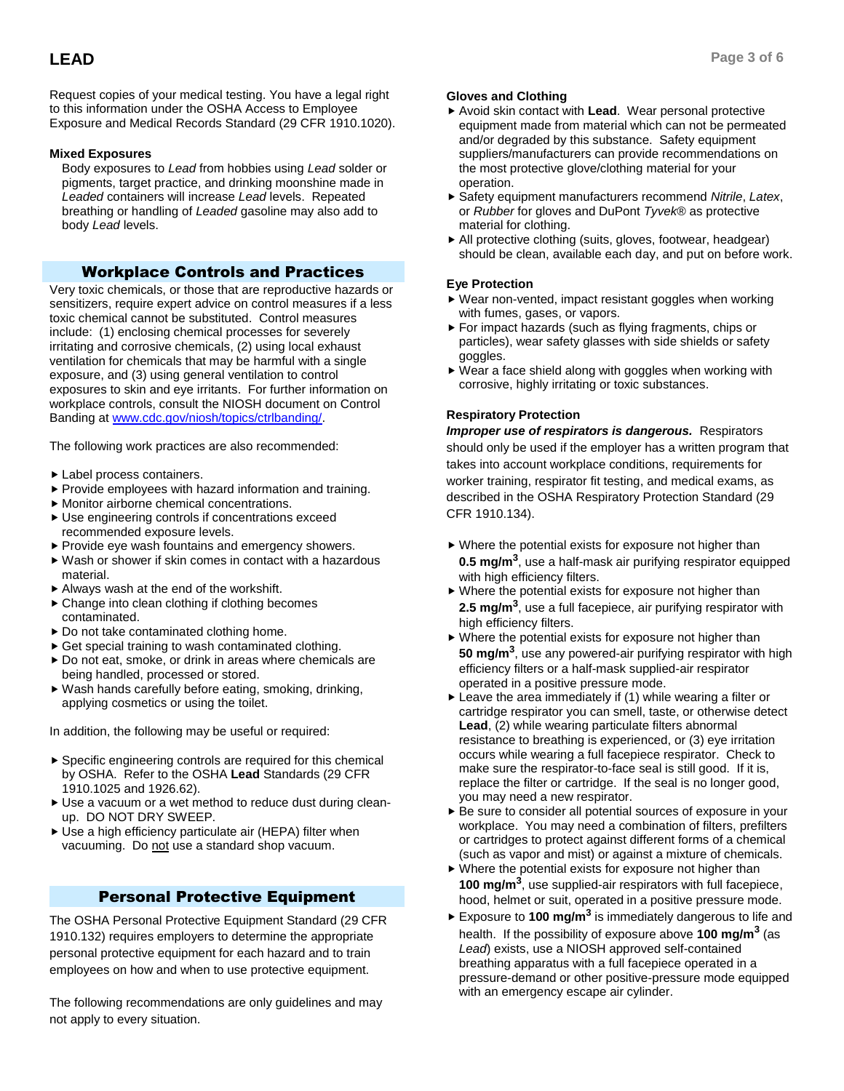Request copies of your medical testing. You have a legal right to this information under the OSHA Access to Employee Exposure and Medical Records Standard (29 CFR 1910.1020).

#### **Mixed Exposures**

Body exposures to *Lead* from hobbies using *Lead* solder or pigments, target practice, and drinking moonshine made in *Leaded* containers will increase *Lead* levels. Repeated breathing or handling of *Leaded* gasoline may also add to body *Lead* levels.

# Workplace Controls and Practices

Very toxic chemicals, or those that are reproductive hazards or sensitizers, require expert advice on control measures if a less toxic chemical cannot be substituted. Control measures include: (1) enclosing chemical processes for severely irritating and corrosive chemicals, (2) using local exhaust ventilation for chemicals that may be harmful with a single exposure, and (3) using general ventilation to control exposures to skin and eye irritants. For further information on workplace controls, consult the NIOSH document on Control Banding a[t www.cdc.gov/niosh/topics/ctrlbanding/.](http://www.cdc.gov/niosh/topics/ctrlbanding/)

The following work practices are also recommended:

- ▶ Label process containers.
- ▶ Provide employees with hazard information and training.
- Monitor airborne chemical concentrations.
- Use engineering controls if concentrations exceed recommended exposure levels.
- Provide eye wash fountains and emergency showers.
- Wash or shower if skin comes in contact with a hazardous material.
- Always wash at the end of the workshift.
- ▶ Change into clean clothing if clothing becomes contaminated.
- ▶ Do not take contaminated clothing home.
- ▶ Get special training to wash contaminated clothing.
- Do not eat, smoke, or drink in areas where chemicals are being handled, processed or stored.
- Wash hands carefully before eating, smoking, drinking, applying cosmetics or using the toilet.

In addition, the following may be useful or required:

- ▶ Specific engineering controls are required for this chemical by OSHA. Refer to the OSHA **Lead** Standards (29 CFR 1910.1025 and 1926.62).
- Use a vacuum or a wet method to reduce dust during cleanup. DO NOT DRY SWEEP.
- Use a high efficiency particulate air (HEPA) filter when vacuuming. Do not use a standard shop vacuum.

# Personal Protective Equipment

The OSHA Personal Protective Equipment Standard (29 CFR 1910.132) requires employers to determine the appropriate personal protective equipment for each hazard and to train employees on how and when to use protective equipment.

The following recommendations are only guidelines and may not apply to every situation.

#### **Gloves and Clothing**

- Avoid skin contact with **Lead**. Wear personal protective equipment made from material which can not be permeated and/or degraded by this substance. Safety equipment suppliers/manufacturers can provide recommendations on the most protective glove/clothing material for your operation.
- Safety equipment manufacturers recommend *Nitrile*, *Latex*, or *Rubber* for gloves and DuPont *Tyvek*® as protective material for clothing.
- All protective clothing (suits, gloves, footwear, headgear) should be clean, available each day, and put on before work.

#### **Eye Protection**

- Wear non-vented, impact resistant goggles when working with fumes, gases, or vapors.
- ▶ For impact hazards (such as flying fragments, chips or particles), wear safety glasses with side shields or safety goggles.
- Wear a face shield along with goggles when working with corrosive, highly irritating or toxic substances.

### **Respiratory Protection**

*Improper use of respirators is dangerous.* Respirators should only be used if the employer has a written program that takes into account workplace conditions, requirements for worker training, respirator fit testing, and medical exams, as described in the OSHA Respiratory Protection Standard (29 CFR 1910.134).

- Where the potential exists for exposure not higher than **0.5 mg/m<sup>3</sup>** , use a half-mask air purifying respirator equipped with high efficiency filters.
- Where the potential exists for exposure not higher than **2.5 mg/m<sup>3</sup>** , use a full facepiece, air purifying respirator with high efficiency filters.
- Where the potential exists for exposure not higher than **50 mg/m<sup>3</sup>** , use any powered-air purifying respirator with high efficiency filters or a half-mask supplied-air respirator operated in a positive pressure mode.
- Leave the area immediately if (1) while wearing a filter or cartridge respirator you can smell, taste, or otherwise detect **Lead**, (2) while wearing particulate filters abnormal resistance to breathing is experienced, or (3) eye irritation occurs while wearing a full facepiece respirator. Check to make sure the respirator-to-face seal is still good. If it is, replace the filter or cartridge. If the seal is no longer good, you may need a new respirator.
- Be sure to consider all potential sources of exposure in your workplace. You may need a combination of filters, prefilters or cartridges to protect against different forms of a chemical (such as vapor and mist) or against a mixture of chemicals.
- Where the potential exists for exposure not higher than **100 mg/m<sup>3</sup>** , use supplied-air respirators with full facepiece, hood, helmet or suit, operated in a positive pressure mode.
- ► Exposure to 100 mg/m<sup>3</sup> is immediately dangerous to life and health. If the possibility of exposure above **100 mg/m<sup>3</sup>** (as *Lead*) exists, use a NIOSH approved self-contained breathing apparatus with a full facepiece operated in a pressure-demand or other positive-pressure mode equipped with an emergency escape air cylinder.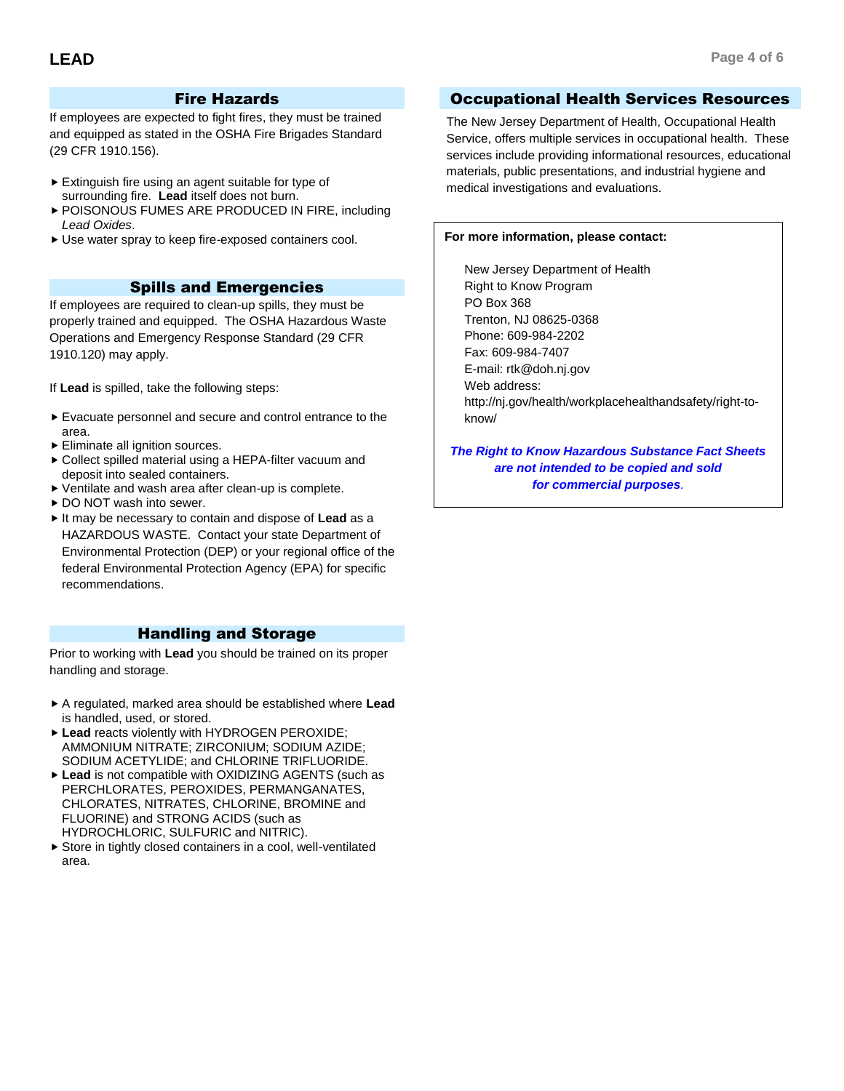# Fire Hazards

If employees are expected to fight fires, they must be trained and equipped as stated in the OSHA Fire Brigades Standard (29 CFR 1910.156).

- Extinguish fire using an agent suitable for type of surrounding fire. **Lead** itself does not burn.
- ▶ POISONOUS FUMES ARE PRODUCED IN FIRE, including *Lead Oxides*.
- Use water spray to keep fire-exposed containers cool.

# Spills and Emergencies

If employees are required to clean-up spills, they must be properly trained and equipped. The OSHA Hazardous Waste Operations and Emergency Response Standard (29 CFR 1910.120) may apply.

If **Lead** is spilled, take the following steps:

- Evacuate personnel and secure and control entrance to the area.
- Eliminate all ignition sources.
- Collect spilled material using a HEPA-filter vacuum and deposit into sealed containers.
- Ventilate and wash area after clean-up is complete.
- ▶ DO NOT wash into sewer.
- It may be necessary to contain and dispose of **Lead** as a HAZARDOUS WASTE. Contact your state Department of Environmental Protection (DEP) or your regional office of the federal Environmental Protection Agency (EPA) for specific recommendations.

# Handling and Storage

Prior to working with **Lead** you should be trained on its proper handling and storage.

- A regulated, marked area should be established where **Lead** is handled, used, or stored.
- **Lead** reacts violently with HYDROGEN PEROXIDE; AMMONIUM NITRATE; ZIRCONIUM; SODIUM AZIDE; SODIUM ACETYLIDE; and CHLORINE TRIFLUORIDE.
- **Lead** is not compatible with OXIDIZING AGENTS (such as PERCHLORATES, PEROXIDES, PERMANGANATES, CHLORATES, NITRATES, CHLORINE, BROMINE and FLUORINE) and STRONG ACIDS (such as HYDROCHLORIC, SULFURIC and NITRIC).
- Store in tightly closed containers in a cool, well-ventilated area.

# Occupational Health Services Resources

The New Jersey Department of Health, Occupational Health Service, offers multiple services in occupational health. These services include providing informational resources, educational materials, public presentations, and industrial hygiene and medical investigations and evaluations.

## **For more information, please contact:**

New Jersey Department of Health Right to Know Program PO Box 368 Trenton, NJ 08625-0368 Phone: 609-984-2202 Fax: 609-984-7407 E-mail: rtk@doh.nj.gov Web address: http://nj.gov/health/workplacehealthandsafety/right-toknow/

*The Right to Know Hazardous Substance Fact Sheets are not intended to be copied and sold for commercial purposes.*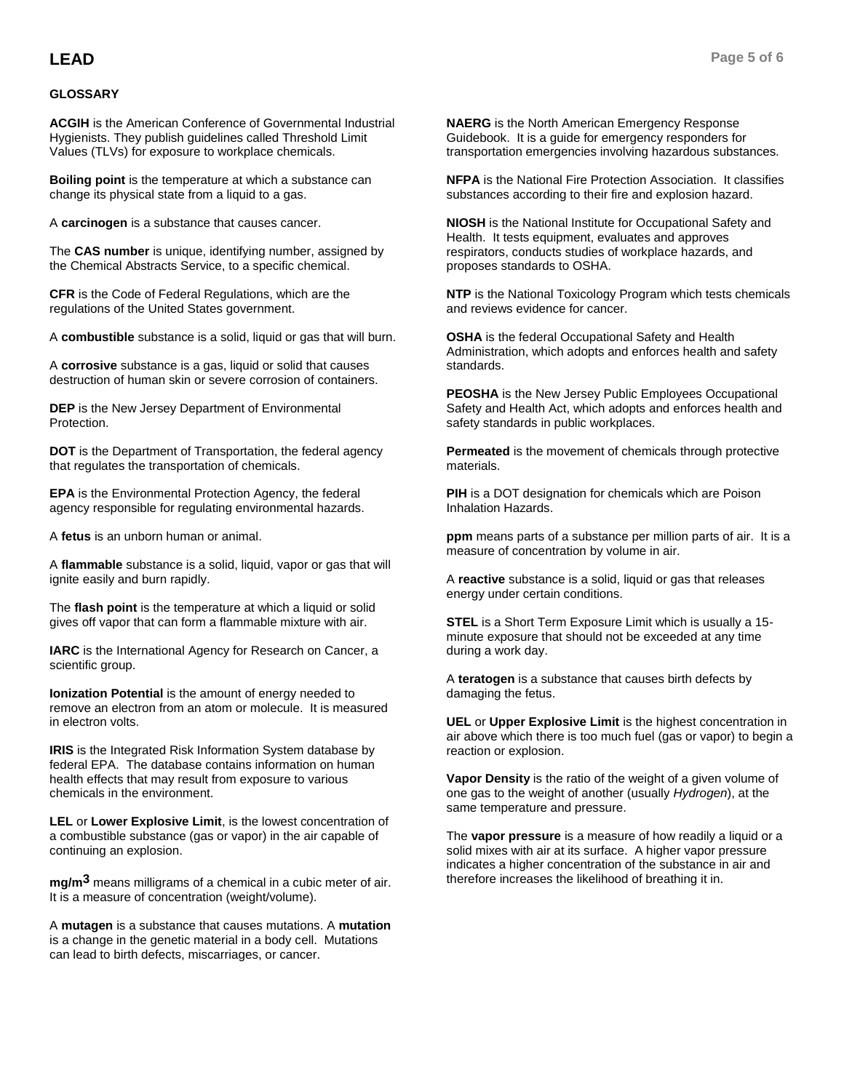#### **GLOSSARY**

**ACGIH** is the American Conference of Governmental Industrial Hygienists. They publish guidelines called Threshold Limit Values (TLVs) for exposure to workplace chemicals.

**Boiling point** is the temperature at which a substance can change its physical state from a liquid to a gas.

A **carcinogen** is a substance that causes cancer.

The **CAS number** is unique, identifying number, assigned by the Chemical Abstracts Service, to a specific chemical.

**CFR** is the Code of Federal Regulations, which are the regulations of the United States government.

A **combustible** substance is a solid, liquid or gas that will burn.

A **corrosive** substance is a gas, liquid or solid that causes destruction of human skin or severe corrosion of containers.

**DEP** is the New Jersey Department of Environmental Protection.

**DOT** is the Department of Transportation, the federal agency that regulates the transportation of chemicals.

**EPA** is the Environmental Protection Agency, the federal agency responsible for regulating environmental hazards.

A **fetus** is an unborn human or animal.

A **flammable** substance is a solid, liquid, vapor or gas that will ignite easily and burn rapidly.

The **flash point** is the temperature at which a liquid or solid gives off vapor that can form a flammable mixture with air.

**IARC** is the International Agency for Research on Cancer, a scientific group.

**Ionization Potential** is the amount of energy needed to remove an electron from an atom or molecule. It is measured in electron volts.

**IRIS** is the Integrated Risk Information System database by federal EPA. The database contains information on human health effects that may result from exposure to various chemicals in the environment.

**LEL** or **Lower Explosive Limit**, is the lowest concentration of a combustible substance (gas or vapor) in the air capable of continuing an explosion.

**mg/m3** means milligrams of a chemical in a cubic meter of air. It is a measure of concentration (weight/volume).

A **mutagen** is a substance that causes mutations. A **mutation** is a change in the genetic material in a body cell. Mutations can lead to birth defects, miscarriages, or cancer.

**NAERG** is the North American Emergency Response Guidebook. It is a guide for emergency responders for transportation emergencies involving hazardous substances.

**NFPA** is the National Fire Protection Association. It classifies substances according to their fire and explosion hazard.

**NIOSH** is the National Institute for Occupational Safety and Health. It tests equipment, evaluates and approves respirators, conducts studies of workplace hazards, and proposes standards to OSHA.

**NTP** is the National Toxicology Program which tests chemicals and reviews evidence for cancer.

**OSHA** is the federal Occupational Safety and Health Administration, which adopts and enforces health and safety standards.

**PEOSHA** is the New Jersey Public Employees Occupational Safety and Health Act, which adopts and enforces health and safety standards in public workplaces.

**Permeated** is the movement of chemicals through protective materials.

**PIH** is a DOT designation for chemicals which are Poison Inhalation Hazards.

**ppm** means parts of a substance per million parts of air. It is a measure of concentration by volume in air.

A **reactive** substance is a solid, liquid or gas that releases energy under certain conditions.

**STEL** is a Short Term Exposure Limit which is usually a 15 minute exposure that should not be exceeded at any time during a work day.

A **teratogen** is a substance that causes birth defects by damaging the fetus.

**UEL** or **Upper Explosive Limit** is the highest concentration in air above which there is too much fuel (gas or vapor) to begin a reaction or explosion.

**Vapor Density** is the ratio of the weight of a given volume of one gas to the weight of another (usually *Hydrogen*), at the same temperature and pressure.

The **vapor pressure** is a measure of how readily a liquid or a solid mixes with air at its surface. A higher vapor pressure indicates a higher concentration of the substance in air and therefore increases the likelihood of breathing it in.